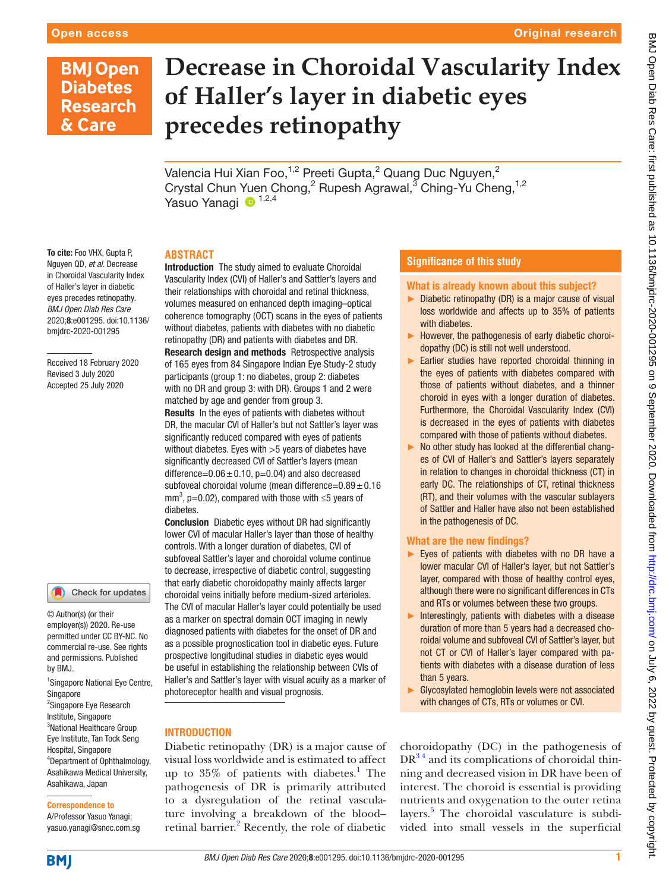#### Original research

# **BMJ Open Diabetes Research** & Care

# **Decrease in Choroidal Vascularity Index of Haller's layer in diabetic eyes precedes retinopathy**

Valencia Hui Xian Foo, $^{1,2}$  Preeti Gupta, $^2$  Quang Duc Nguyen, $^2$ Crystal Chun Yuen Chong,<sup>2</sup> Rupesh Agrawal,<sup>3</sup> Ching-Yu Cheng,<sup>1,2</sup> Yasuo Yanagi <sup>1,2,4</sup>

#### **ABSTRACT**

To cite: Foo VHX, Gupta P, Nguyen QD, *et al*. Decrease in Choroidal Vascularity Index of Haller's layer in diabetic eyes precedes retinopathy. *BMJ Open Diab Res Care* 2020;8:e001295. doi:10.1136/ bmjdrc-2020-001295

Received 18 February 2020 Revised 3 July 2020 Accepted 25 July 2020

# Check for updates

© Author(s) (or their employer(s)) 2020. Re-use permitted under CC BY-NC. No commercial re-use. See rights and permissions. Published by BMJ.

1 Singapore National Eye Centre, Singapore <sup>2</sup>Singapore Eye Research Institute, Singapore <sup>3</sup>National Healthcare Group Eye Institute, Tan Tock Seng Hospital, Singapore 4 Department of Ophthalmology, Asahikawa Medical University, Asahikawa, Japan

#### Correspondence to

A/Professor Yasuo Yanagi; yasuo.yanagi@snec.com.sg **Introduction** The study aimed to evaluate Choroidal Vascularity Index (CVI) of Haller's and Sattler's layers and their relationships with choroidal and retinal thickness, volumes measured on enhanced depth imaging–optical coherence tomography (OCT) scans in the eyes of patients without diabetes, patients with diabetes with no diabetic retinopathy (DR) and patients with diabetes and DR. Research design and methods Retrospective analysis of 165 eyes from 84 Singapore Indian Eye Study-2 study participants (group 1: no diabetes, group 2: diabetes with no DR and group 3: with DR). Groups 1 and 2 were matched by age and gender from group 3.

Results In the eyes of patients with diabetes without DR, the macular CVI of Haller's but not Sattler's layer was significantly reduced compared with eyes of patients without diabetes. Eyes with >5 years of diabetes have significantly decreased CVI of Sattler's layers (mean difference= $0.06 \pm 0.10$ , p=0.04) and also decreased subfoveal choroidal volume (mean difference= $0.89 \pm 0.16$ mm<sup>3</sup>, p=0.02), compared with those with  $\leq$ 5 years of diabetes.

Conclusion Diabetic eyes without DR had significantly lower CVI of macular Haller's layer than those of healthy controls. With a longer duration of diabetes, CVI of subfoveal Sattler's layer and choroidal volume continue to decrease, irrespective of diabetic control, suggesting that early diabetic choroidopathy mainly affects larger choroidal veins initially before medium-sized arterioles. The CVI of macular Haller's layer could potentially be used as a marker on spectral domain OCT imaging in newly diagnosed patients with diabetes for the onset of DR and as a possible prognostication tool in diabetic eyes. Future prospective longitudinal studies in diabetic eyes would be useful in establishing the relationship between CVIs of Haller's and Sattler's layer with visual acuity as a marker of photoreceptor health and visual prognosis.

## **INTRODUCTION**

Diabetic retinopathy (DR) is a major cause of visual loss worldwide and is estimated to affect up to 35% of patients with diabetes.<sup>[1](#page-7-0)</sup> The pathogenesis of DR is primarily attributed to a dysregulation of the retinal vasculature involving a breakdown of the blood– retinal barrier.<sup>2</sup> Recently, the role of diabetic

#### **Significance of this study**

#### What is already known about this subject?

- ► Diabetic retinopathy (DR) is a major cause of visual loss worldwide and affects up to 35% of patients with diabetes.
- ► However, the pathogenesis of early diabetic choroidopathy (DC) is still not well understood.
- ► Earlier studies have reported choroidal thinning in the eyes of patients with diabetes compared with those of patients without diabetes, and a thinner choroid in eyes with a longer duration of diabetes. Furthermore, the Choroidal Vascularity Index (CVI) is decreased in the eyes of patients with diabetes compared with those of patients without diabetes.
- ► No other study has looked at the differential changes of CVI of Haller's and Sattler's layers separately in relation to changes in choroidal thickness (CT) in early DC. The relationships of CT, retinal thickness (RT), and their volumes with the vascular sublayers of Sattler and Haller have also not been established in the pathogenesis of DC.

#### What are the new findings?

- ► Eyes of patients with diabetes with no DR have a lower macular CVI of Haller's layer, but not Sattler's layer, compared with those of healthy control eyes, although there were no significant differences in CTs and RTs or volumes between these two groups.
- $\blacktriangleright$  Interestingly, patients with diabetes with a disease duration of more than 5 years had a decreased choroidal volume and subfoveal CVI of Sattler's layer, but not CT or CVI of Haller's layer compared with patients with diabetes with a disease duration of less than 5 years.
- ► Glycosylated hemoglobin levels were not associated with changes of CTs, RTs or volumes or CVI.

choroidopathy (DC) in the pathogenesis of  $DR<sup>34</sup>$  and its complications of choroidal thinning and decreased vision in DR have been of interest. The choroid is essential is providing nutrients and oxygenation to the outer retina layers.<sup>[5](#page-7-3)</sup> The choroidal vasculature is subdivided into small vessels in the superficial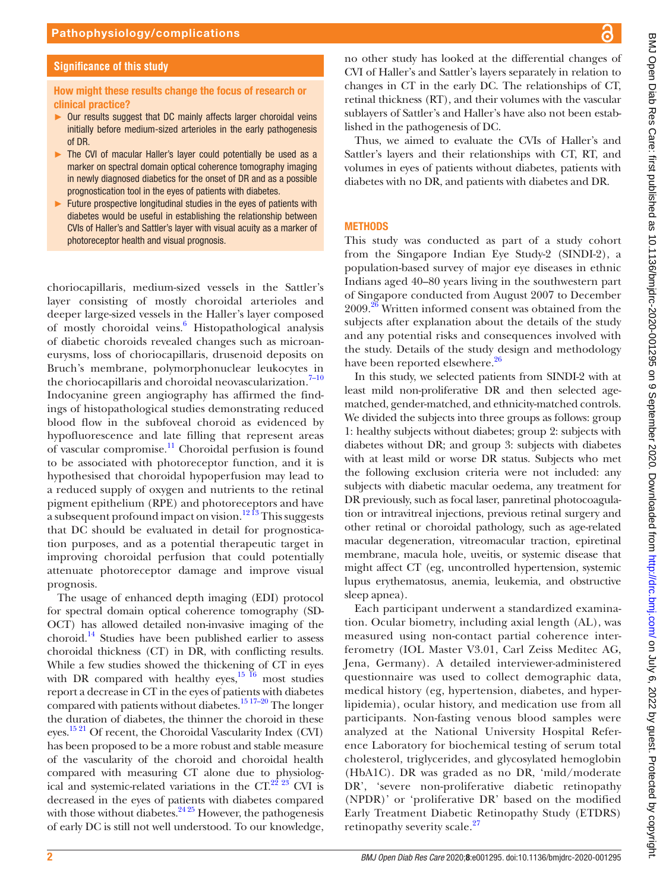#### **Significance of this study**

#### How might these results change the focus of research or clinical practice?

- ► Our results suggest that DC mainly affects larger choroidal veins initially before medium-sized arterioles in the early pathogenesis of DR.
- ► The CVI of macular Haller's layer could potentially be used as a marker on spectral domain optical coherence tomography imaging in newly diagnosed diabetics for the onset of DR and as a possible prognostication tool in the eyes of patients with diabetes.
- ► Future prospective longitudinal studies in the eyes of patients with diabetes would be useful in establishing the relationship between CVIs of Haller's and Sattler's layer with visual acuity as a marker of photoreceptor health and visual prognosis.

choriocapillaris, medium-sized vessels in the Sattler's layer consisting of mostly choroidal arterioles and deeper large-sized vessels in the Haller's layer composed of mostly choroidal veins.<sup>[6](#page-7-4)</sup> Histopathological analysis of diabetic choroids revealed changes such as microaneurysms, loss of choriocapillaris, drusenoid deposits on Bruch's membrane, polymorphonuclear leukocytes in the choriocapillaris and choroidal neovascularization.<sup>7-10</sup> Indocyanine green angiography has affirmed the findings of histopathological studies demonstrating reduced blood flow in the subfoveal choroid as evidenced by hypofluorescence and late filling that represent areas of vascular compromise.<sup>11</sup> Choroidal perfusion is found to be associated with photoreceptor function, and it is hypothesised that choroidal hypoperfusion may lead to a reduced supply of oxygen and nutrients to the retinal pigment epithelium (RPE) and photoreceptors and have a subsequent profound impact on vision.<sup>12 13</sup> This suggests that DC should be evaluated in detail for prognostication purposes, and as a potential therapeutic target in improving choroidal perfusion that could potentially attenuate photoreceptor damage and improve visual prognosis.

The usage of enhanced depth imaging (EDI) protocol for spectral domain optical coherence tomography (SD-OCT) has allowed detailed non-invasive imaging of the choroid.[14](#page-7-8) Studies have been published earlier to assess choroidal thickness (CT) in DR, with conflicting results. While a few studies showed the thickening of CT in eyes with DR compared with healthy eyes, $15\frac{16}{16}$  most studies report a decrease in CT in the eyes of patients with diabetes compared with patients without diabetes.<sup>15 17–20</sup> The longer the duration of diabetes, the thinner the choroid in these eyes.<sup>15 21</sup> Of recent, the Choroidal Vascularity Index (CVI) has been proposed to be a more robust and stable measure of the vascularity of the choroid and choroidal health compared with measuring CT alone due to physiological and systemic-related variations in the  $CT.^{22}$   $^{23}$  CVI is decreased in the eyes of patients with diabetes compared with those without diabetes. $24\frac{24\frac{25}{2}}{25}$  However, the pathogenesis of early DC is still not well understood. To our knowledge,

no other study has looked at the differential changes of CVI of Haller's and Sattler's layers separately in relation to changes in CT in the early DC. The relationships of CT, retinal thickness (RT), and their volumes with the vascular sublayers of Sattler's and Haller's have also not been established in the pathogenesis of DC.

Thus, we aimed to evaluate the CVIs of Haller's and Sattler's layers and their relationships with CT, RT, and volumes in eyes of patients without diabetes, patients with diabetes with no DR, and patients with diabetes and DR.

#### **METHODS**

This study was conducted as part of a study cohort from the Singapore Indian Eye Study-2 (SINDI-2), a population-based survey of major eye diseases in ethnic Indians aged 40–80 years living in the southwestern part of Singapore conducted from August 2007 to December 2009.<sup>[26](#page-7-12)</sup> Written informed consent was obtained from the subjects after explanation about the details of the study and any potential risks and consequences involved with the study. Details of the study design and methodology have been reported elsewhere.<sup>26</sup>

In this study, we selected patients from SINDI-2 with at least mild non-proliferative DR and then selected agematched, gender-matched, and ethnicity-matched controls. We divided the subjects into three groups as follows: group 1: healthy subjects without diabetes; group 2: subjects with diabetes without DR; and group 3: subjects with diabetes with at least mild or worse DR status. Subjects who met the following exclusion criteria were not included: any subjects with diabetic macular oedema, any treatment for DR previously, such as focal laser, panretinal photocoagulation or intravitreal injections, previous retinal surgery and other retinal or choroidal pathology, such as age-related macular degeneration, vitreomacular traction, epiretinal membrane, macula hole, uveitis, or systemic disease that might affect CT (eg, uncontrolled hypertension, systemic lupus erythematosus, anemia, leukemia, and obstructive sleep apnea).

Each participant underwent a standardized examination. Ocular biometry, including axial length (AL), was measured using non-contact partial coherence interferometry (IOL Master V3.01, Carl Zeiss Meditec AG, Jena, Germany). A detailed interviewer-administered questionnaire was used to collect demographic data, medical history (eg, hypertension, diabetes, and hyperlipidemia), ocular history, and medication use from all participants. Non-fasting venous blood samples were analyzed at the National University Hospital Reference Laboratory for biochemical testing of serum total cholesterol, triglycerides, and glycosylated hemoglobin (HbA1C). DR was graded as no DR, 'mild/moderate DR', 'severe non-proliferative diabetic retinopathy (NPDR)' or 'proliferative DR' based on the modified Early Treatment Diabetic Retinopathy Study (ETDRS) retinopathy severity scale.<sup>[27](#page-7-13)</sup>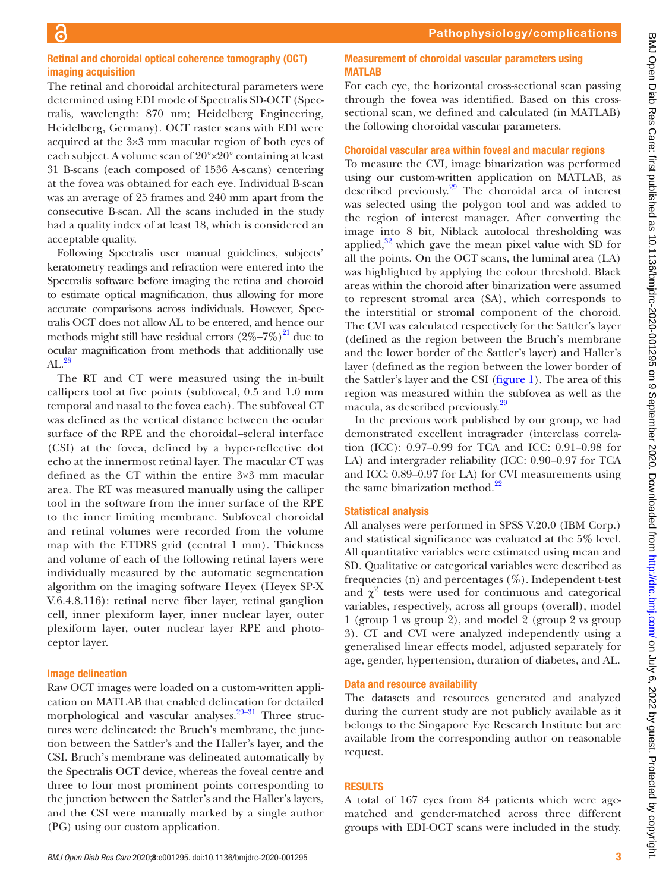#### Retinal and choroidal optical coherence tomography (OCT) imaging acquisition

The retinal and choroidal architectural parameters were determined using EDI mode of Spectralis SD-OCT (Spectralis, wavelength: 870 nm; Heidelberg Engineering, Heidelberg, Germany). OCT raster scans with EDI were acquired at the 3×3 mm macular region of both eyes of each subject. A volume scan of 20°×20° containing at least 31 B-scans (each composed of 1536 A-scans) centering at the fovea was obtained for each eye. Individual B-scan was an average of 25 frames and 240 mm apart from the consecutive B-scan. All the scans included in the study had a quality index of at least 18, which is considered an acceptable quality.

Following Spectralis user manual guidelines, subjects' keratometry readings and refraction were entered into the Spectralis software before imaging the retina and choroid to estimate optical magnification, thus allowing for more accurate comparisons across individuals. However, Spectralis OCT does not allow AL to be entered, and hence our methods might still have residual errors  $(2\%-7\%)^2$  due to ocular magnification from methods that additionally use  $AL.<sup>28</sup>$  $AL.<sup>28</sup>$  $AL.<sup>28</sup>$ 

The RT and CT were measured using the in-built callipers tool at five points (subfoveal, 0.5 and 1.0 mm temporal and nasal to the fovea each). The subfoveal CT was defined as the vertical distance between the ocular surface of the RPE and the choroidal–scleral interface (CSI) at the fovea, defined by a hyper-reflective dot echo at the innermost retinal layer. The macular CT was defined as the CT within the entire 3×3 mm macular area. The RT was measured manually using the calliper tool in the software from the inner surface of the RPE to the inner limiting membrane. Subfoveal choroidal and retinal volumes were recorded from the volume map with the ETDRS grid (central 1 mm). Thickness and volume of each of the following retinal layers were individually measured by the automatic segmentation algorithm on the imaging software Heyex (Heyex SP-X V.6.4.8.116): retinal nerve fiber layer, retinal ganglion cell, inner plexiform layer, inner nuclear layer, outer plexiform layer, outer nuclear layer RPE and photoceptor layer.

#### Image delineation

Raw OCT images were loaded on a custom-written application on MATLAB that enabled delineation for detailed morphological and vascular analyses. $29-31$  Three structures were delineated: the Bruch's membrane, the junction between the Sattler's and the Haller's layer, and the CSI. Bruch's membrane was delineated automatically by the Spectralis OCT device, whereas the foveal centre and three to four most prominent points corresponding to the junction between the Sattler's and the Haller's layers, and the CSI were manually marked by a single author (PG) using our custom application.

#### Measurement of choroidal vascular parameters using MATLAB

For each eye, the horizontal cross-sectional scan passing through the fovea was identified. Based on this crosssectional scan, we defined and calculated (in MATLAB) the following choroidal vascular parameters.

#### Choroidal vascular area within foveal and macular regions

To measure the CVI, image binarization was performed using our custom-written application on MATLAB, as described previously[.29](#page-7-16) The choroidal area of interest was selected using the polygon tool and was added to the region of interest manager. After converting the image into 8 bit, Niblack autolocal thresholding was applied, $32$  which gave the mean pixel value with SD for all the points. On the OCT scans, the luminal area (LA) was highlighted by applying the colour threshold. Black areas within the choroid after binarization were assumed to represent stromal area (SA), which corresponds to the interstitial or stromal component of the choroid. The CVI was calculated respectively for the Sattler's layer (defined as the region between the Bruch's membrane and the lower border of the Sattler's layer) and Haller's layer (defined as the region between the lower border of the Sattler's layer and the CSI [\(figure](#page-3-0) 1). The area of this region was measured within the subfovea as well as the macula, as described previously[.29](#page-7-16)

In the previous work published by our group, we had demonstrated excellent intragrader (interclass correlation (ICC): 0.97–0.99 for TCA and ICC: 0.91–0.98 for LA) and intergrader reliability (ICC: 0.90–0.97 for TCA and ICC: 0.89–0.97 for LA) for CVI measurements using the same binarization method. $^{22}$ 

## Statistical analysis

All analyses were performed in SPSS V.20.0 (IBM Corp.) and statistical significance was evaluated at the 5% level. All quantitative variables were estimated using mean and SD. Qualitative or categorical variables were described as frequencies (n) and percentages  $(\%)$ . Independent t-test and  $\chi^2$  tests were used for continuous and categorical variables, respectively, across all groups (overall), model 1 (group 1 vs group 2), and model 2 (group 2 vs group 3). CT and CVI were analyzed independently using a generalised linear effects model, adjusted separately for age, gender, hypertension, duration of diabetes, and AL.

#### Data and resource availability

The datasets and resources generated and analyzed during the current study are not publicly available as it belongs to the Singapore Eye Research Institute but are available from the corresponding author on reasonable request.

## **RESULTS**

A total of 167 eyes from 84 patients which were agematched and gender-matched across three different groups with EDI-OCT scans were included in the study.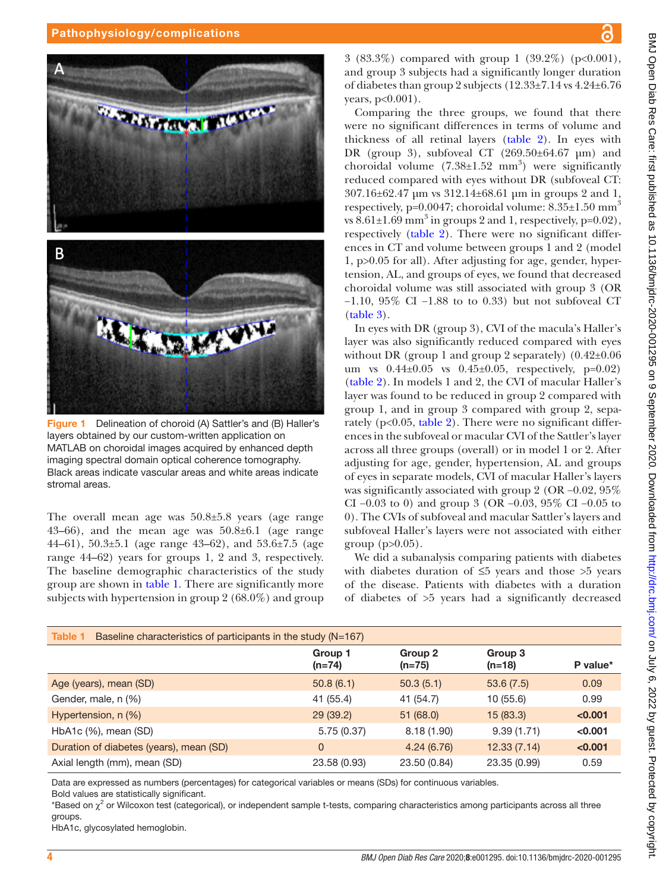# Pathophysiology/complications





<span id="page-3-0"></span>Figure 1 Delineation of choroid (A) Sattler's and (B) Haller's layers obtained by our custom-written application on MATLAB on choroidal images acquired by enhanced depth imaging spectral domain optical coherence tomography. Black areas indicate vascular areas and white areas indicate stromal areas.

The overall mean age was 50.8±5.8 years (age range 43–66), and the mean age was 50.8±6.1 (age range 44–61), 50.3±5.1 (age range 43–62), and 53.6±7.5 (age range 44–62) years for groups 1, 2 and 3, respectively. The baseline demographic characteristics of the study group are shown in [table](#page-3-1) 1. There are significantly more subjects with hypertension in group 2 (68.0%) and group

3 (83.3%) compared with group 1 (39.2%) ( $p<0.001$ ), and group 3 subjects had a significantly longer duration of diabetes than group 2 subjects  $(12.33\pm7.14 \text{ vs } 4.24\pm6.76$ years, p<0.001).

Comparing the three groups, we found that there were no significant differences in terms of volume and thickness of all retinal layers [\(table](#page-4-0) 2). In eyes with DR (group 3), subfoveal CT (269.50±64.67 μm) and choroidal volume  $(7.38 \pm 1.52 \text{ mm}^3)$  were significantly reduced compared with eyes without DR (subfoveal CT: 307.16±62.47 μm vs 312.14±68.61 μm in groups 2 and 1, respectively, p=0.0047; choroidal volume:  $8.35\pm1.50$  mm<sup>3</sup> vs  $8.61\pm1.69$  mm<sup>3</sup> in groups 2 and 1, respectively, p=0.02), respectively ([table](#page-4-0) 2). There were no significant differences in CT and volume between groups 1 and 2 (model 1, p>0.05 for all). After adjusting for age, gender, hypertension, AL, and groups of eyes, we found that decreased choroidal volume was still associated with group 3 (OR −1.10, 95% CI −1.88 to to 0.33) but not subfoveal CT [\(table](#page-5-0) 3).

In eyes with DR (group 3), CVI of the macula's Haller's layer was also significantly reduced compared with eyes without DR (group 1 and group 2 separately)  $(0.42\pm0.06$ um vs  $0.44 \pm 0.05$  vs  $0.45 \pm 0.05$ , respectively, p=0.02) [\(table](#page-4-0) 2). In models 1 and 2, the CVI of macular Haller's layer was found to be reduced in group 2 compared with group 1, and in group 3 compared with group 2, separately (p<0.05, [table](#page-4-0) 2). There were no significant differences in the subfoveal or macular CVI of the Sattler's layer across all three groups (overall) or in model 1 or 2. After adjusting for age, gender, hypertension, AL and groups of eyes in separate models, CVI of macular Haller's layers was significantly associated with group 2 (OR −0.02, 95% CI −0.03 to 0) and group 3 (OR −0.03, 95% CI −0.05 to 0). The CVIs of subfoveal and macular Sattler's layers and subfoveal Haller's layers were not associated with either group (p>0.05).

We did a subanalysis comparing patients with diabetes with diabetes duration of  $\leq 5$  years and those  $> 5$  years of the disease. Patients with diabetes with a duration of diabetes of >5 years had a significantly decreased

<span id="page-3-1"></span>

| Table 1<br>Baseline characteristics of participants in the study $(N=167)$ |                     |                     |                     |          |  |
|----------------------------------------------------------------------------|---------------------|---------------------|---------------------|----------|--|
|                                                                            | Group 1<br>$(n=74)$ | Group 2<br>$(n=75)$ | Group 3<br>$(n=18)$ | P value* |  |
| Age (years), mean (SD)                                                     | 50.8(6.1)           | 50.3(5.1)           | 53.6(7.5)           | 0.09     |  |
| Gender, male, n (%)                                                        | 41 (55.4)           | 41 (54.7)           | 10(55.6)            | 0.99     |  |
| Hypertension, n (%)                                                        | 29(39.2)            | 51(68.0)            | 15(83.3)            | < 0.001  |  |
| HbA1c (%), mean (SD)                                                       | 5.75(0.37)          | 8.18(1.90)          | 9.39(1.71)          | < 0.001  |  |
| Duration of diabetes (years), mean (SD)                                    | $\mathbf{0}$        | 4.24(6.76)          | 12.33(7.14)         | < 0.001  |  |
| Axial length (mm), mean (SD)                                               | 23.58 (0.93)        | 23.50 (0.84)        | 23.35 (0.99)        | 0.59     |  |

Data are expressed as numbers (percentages) for categorical variables or means (SDs) for continuous variables.

Bold values are statistically significant.

\*Based on χ<sup>2</sup> or Wilcoxon test (categorical), or independent sample t-tests, comparing characteristics among participants across all three groups.

HbA1c, glycosylated hemoglobin.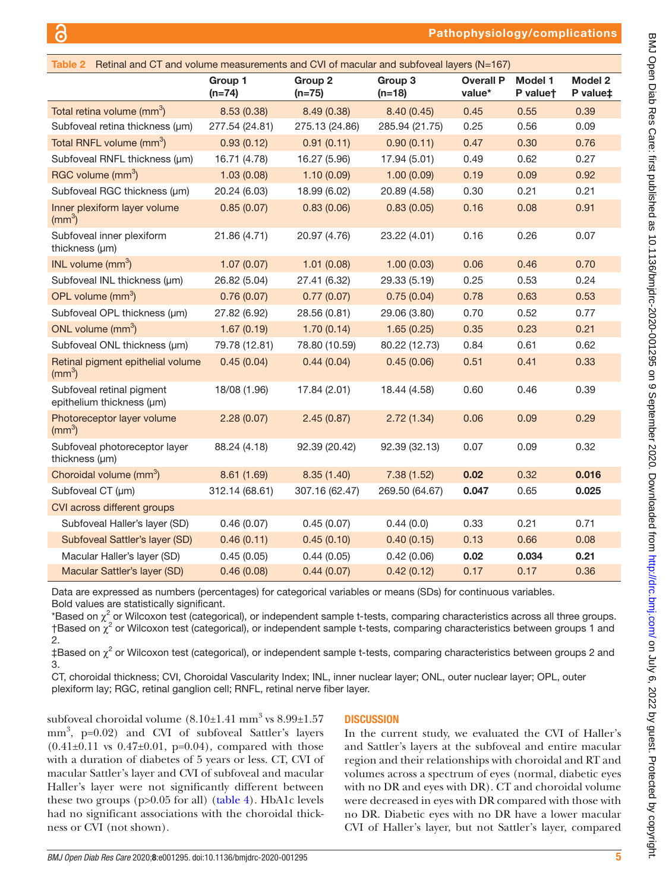# Pathophysiology/complications

<span id="page-4-0"></span>

| Retinal and CT and volume measurements and CVI of macular and subfoveal layers (N=167)<br>Table 2 |                     |                                |                                |                            |                            |                            |
|---------------------------------------------------------------------------------------------------|---------------------|--------------------------------|--------------------------------|----------------------------|----------------------------|----------------------------|
|                                                                                                   | Group 1<br>$(n=74)$ | Group <sub>2</sub><br>$(n=75)$ | Group <sub>3</sub><br>$(n=18)$ | <b>Overall P</b><br>value* | <b>Model 1</b><br>P valuet | <b>Model 2</b><br>P value‡ |
| Total retina volume (mm <sup>3</sup> )                                                            | 8.53(0.38)          | 8.49 (0.38)                    | 8.40(0.45)                     | 0.45                       | 0.55                       | 0.39                       |
| Subfoveal retina thickness (µm)                                                                   | 277.54 (24.81)      | 275.13 (24.86)                 | 285.94 (21.75)                 | 0.25                       | 0.56                       | 0.09                       |
| Total RNFL volume (mm <sup>3</sup> )                                                              | 0.93(0.12)          | 0.91(0.11)                     | 0.90(0.11)                     | 0.47                       | 0.30                       | 0.76                       |
| Subfoveal RNFL thickness (µm)                                                                     | 16.71 (4.78)        | 16.27 (5.96)                   | 17.94 (5.01)                   | 0.49                       | 0.62                       | 0.27                       |
| RGC volume (mm <sup>3</sup> )                                                                     | 1.03(0.08)          | 1.10(0.09)                     | 1.00(0.09)                     | 0.19                       | 0.09                       | 0.92                       |
| Subfoveal RGC thickness (µm)                                                                      | 20.24 (6.03)        | 18.99 (6.02)                   | 20.89 (4.58)                   | 0.30                       | 0.21                       | 0.21                       |
| Inner plexiform layer volume<br>$\rm (mm^3)$                                                      | 0.85(0.07)          | 0.83(0.06)                     | 0.83(0.05)                     | 0.16                       | 0.08                       | 0.91                       |
| Subfoveal inner plexiform<br>thickness (µm)                                                       | 21.86 (4.71)        | 20.97 (4.76)                   | 23.22 (4.01)                   | 0.16                       | 0.26                       | 0.07                       |
| INL volume $\text{(mm}^3)$                                                                        | 1.07(0.07)          | 1.01(0.08)                     | 1.00(0.03)                     | 0.06                       | 0.46                       | 0.70                       |
| Subfoveal INL thickness (µm)                                                                      | 26.82 (5.04)        | 27.41 (6.32)                   | 29.33 (5.19)                   | 0.25                       | 0.53                       | 0.24                       |
| OPL volume (mm <sup>3</sup> )                                                                     | 0.76(0.07)          | 0.77(0.07)                     | 0.75(0.04)                     | 0.78                       | 0.63                       | 0.53                       |
| Subfoveal OPL thickness (µm)                                                                      | 27.82 (6.92)        | 28.56 (0.81)                   | 29.06 (3.80)                   | 0.70                       | 0.52                       | 0.77                       |
| ONL volume $(mm3)$                                                                                | 1.67(0.19)          | 1.70(0.14)                     | 1.65(0.25)                     | 0.35                       | 0.23                       | 0.21                       |
| Subfoveal ONL thickness (µm)                                                                      | 79.78 (12.81)       | 78.80 (10.59)                  | 80.22 (12.73)                  | 0.84                       | 0.61                       | 0.62                       |
| Retinal pigment epithelial volume<br>$\rm (mm^3)$                                                 | 0.45(0.04)          | 0.44(0.04)                     | 0.45(0.06)                     | 0.51                       | 0.41                       | 0.33                       |
| Subfoveal retinal pigment<br>epithelium thickness (µm)                                            | 18/08 (1.96)        | 17.84 (2.01)                   | 18.44 (4.58)                   | 0.60                       | 0.46                       | 0.39                       |
| Photoreceptor layer volume<br>$\rm (mm^3)$                                                        | 2.28(0.07)          | 2.45(0.87)                     | 2.72(1.34)                     | 0.06                       | 0.09                       | 0.29                       |
| Subfoveal photoreceptor layer<br>thickness (µm)                                                   | 88.24 (4.18)        | 92.39 (20.42)                  | 92.39 (32.13)                  | 0.07                       | 0.09                       | 0.32                       |
| Choroidal volume (mm <sup>3</sup> )                                                               | 8.61(1.69)          | 8.35(1.40)                     | 7.38(1.52)                     | 0.02                       | 0.32                       | 0.016                      |
| Subfoveal CT (µm)                                                                                 | 312.14 (68.61)      | 307.16 (62.47)                 | 269.50 (64.67)                 | 0.047                      | 0.65                       | 0.025                      |
| CVI across different groups                                                                       |                     |                                |                                |                            |                            |                            |
| Subfoveal Haller's layer (SD)                                                                     | 0.46(0.07)          | 0.45(0.07)                     | 0.44(0.0)                      | 0.33                       | 0.21                       | 0.71                       |
| Subfoveal Sattler's layer (SD)                                                                    | 0.46(0.11)          | 0.45(0.10)                     | 0.40(0.15)                     | 0.13                       | 0.66                       | 0.08                       |
| Macular Haller's layer (SD)                                                                       | 0.45(0.05)          | 0.44(0.05)                     | 0.42(0.06)                     | 0.02                       | 0.034                      | 0.21                       |
| Macular Sattler's layer (SD)                                                                      | 0.46(0.08)          | 0.44(0.07)                     | 0.42(0.12)                     | 0.17                       | 0.17                       | 0.36                       |

Data are expressed as numbers (percentages) for categorical variables or means (SDs) for continuous variables. Bold values are statistically significant.

 $^*$ Based on  $\chi^2$  or Wilcoxon test (categorical), or independent sample t-tests, comparing characteristics across all three groups. †Based on χ<sup>2</sup> or Wilcoxon test (categorical), or independent sample t-tests, comparing characteristics between groups 1 and 2.

‡Based on χ<sup>2</sup> or Wilcoxon test (categorical), or independent sample t-tests, comparing characteristics between groups 2 and 3.

CT, choroidal thickness; CVI, Choroidal Vascularity Index; INL, inner nuclear layer; ONL, outer nuclear layer; OPL, outer plexiform lay; RGC, retinal ganglion cell; RNFL, retinal nerve fiber layer.

subfoveal choroidal volume  $(8.10\pm1.41~\mathrm{mm}^3\,\mathrm{vs}\,8.99\pm1.57$ mm<sup>3</sup>, p=0.02) and CVI of subfoveal Sattler's layers  $(0.41\pm0.11$  vs  $0.47\pm0.01$ , p=0.04), compared with those with a duration of diabetes of 5 years or less. CT, CVI of macular Sattler's layer and CVI of subfoveal and macular Haller's layer were not significantly different between these two groups (p>0.05 for all) ([table](#page-5-1) 4). HbA1c levels had no significant associations with the choroidal thickness or CVI (not shown).

#### **DISCUSSION**

In the current study, we evaluated the CVI of Haller's and Sattler's layers at the subfoveal and entire macular region and their relationships with choroidal and RT and volumes across a spectrum of eyes (normal, diabetic eyes with no DR and eyes with DR). CT and choroidal volume were decreased in eyes with DR compared with those with no DR. Diabetic eyes with no DR have a lower macular CVI of Haller's layer, but not Sattler's layer, compared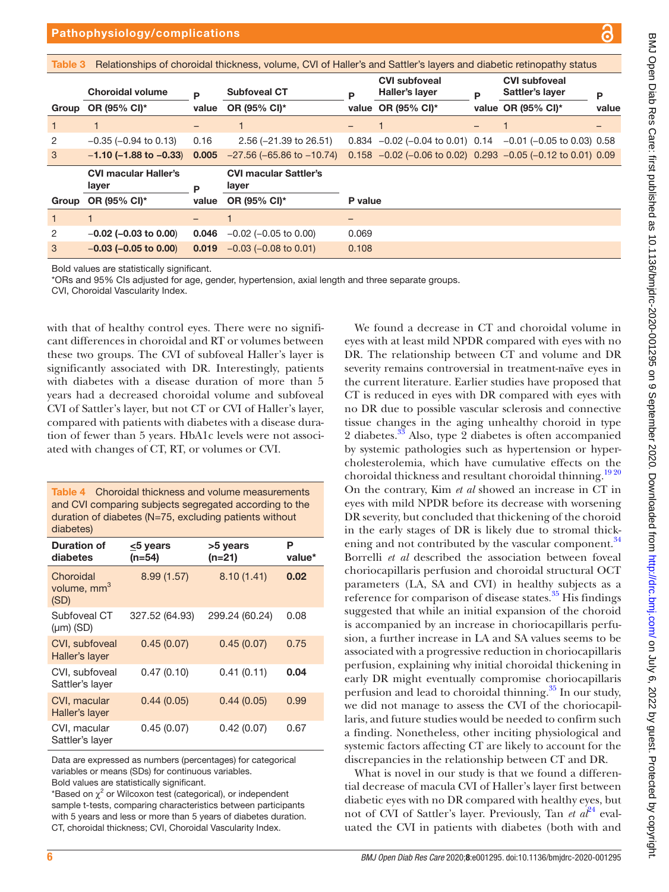<span id="page-5-0"></span>

|       | Pathophysiology/complications<br>О                                                                                            |       |                                   |   |                                                                 |   |                                         |       |
|-------|-------------------------------------------------------------------------------------------------------------------------------|-------|-----------------------------------|---|-----------------------------------------------------------------|---|-----------------------------------------|-------|
|       |                                                                                                                               |       |                                   |   |                                                                 |   |                                         |       |
|       | Table 3<br>Relationships of choroidal thickness, volume, CVI of Haller's and Sattler's layers and diabetic retinopathy status |       |                                   |   |                                                                 |   |                                         |       |
|       | <b>Choroidal volume</b>                                                                                                       | P     | <b>Subfoveal CT</b>               | P | <b>CVI subfoveal</b><br>Haller's layer                          | P | <b>CVI subfoveal</b><br>Sattler's layer | P     |
| Group | OR (95% CI)*                                                                                                                  | value | OR (95% CI)*                      |   | value OR (95% CI)*                                              |   | value OR $(95\% \text{ Cl})^*$          | value |
|       |                                                                                                                               |       |                                   |   |                                                                 |   |                                         |       |
| 2     | $-0.35$ ( $-0.94$ to 0.13)                                                                                                    | 0.16  | $2.56$ (-21.39 to 26.51)          |   | $0.834 -0.02$ (-0.04 to 0.01) $0.14 -0.01$ (-0.05 to 0.03) 0.58 |   |                                         |       |
| 3     | $-1.10$ (-1.88 to $-0.33$ ) 0.005                                                                                             |       | $-27.56$ ( $-65.86$ to $-10.74$ ) |   | $0.158 -0.02$ (-0.06 to 0.02) 0.293 -0.05 (-0.12 to 0.01) 0.09  |   |                                         |       |
|       |                                                                                                                               |       |                                   |   |                                                                 |   |                                         |       |

Bold values are statistically significant.

CVI macular Haller's layer **P** 

\*ORs and 95% CIs adjusted for age, gender, hypertension, axial length and three separate groups.

CVI macular Sattler's

OR (95% CI)\* P value

CVI, Choroidal Vascularity Index.

Group OR (95% CI)\*

with that of healthy control eyes. There were no significant differences in choroidal and RT or volumes between these two groups. The CVI of subfoveal Haller's layer is significantly associated with DR. Interestingly, patients with diabetes with a disease duration of more than 5 years had a decreased choroidal volume and subfoveal CVI of Sattler's layer, but not CT or CVI of Haller's layer, compared with patients with diabetes with a disease duration of fewer than 5 years. HbA1c levels were not associated with changes of CT, RT, or volumes or CVI.

value

1 1 – 1 – 2 −0.02 (−0.03 to 0.00) 0.046 −0.02 (−0.05 to 0.00) 0.069 3 −0.03 (−0.05 to 0.00) 0.019 −0.03 (−0.08 to 0.01) 0.108

layer

<span id="page-5-1"></span>

| <b>Table 4</b> Choroidal thickness and volume measurements |  |
|------------------------------------------------------------|--|
| and CVI comparing subjects segregated according to the     |  |
| duration of diabetes ( $N=75$ , excluding patients without |  |
| diabetes)                                                  |  |

| Duration of<br>diabetes                      | <5 years<br>$(n=54)$ | >5 years<br>(n=21) | Р<br>value* |
|----------------------------------------------|----------------------|--------------------|-------------|
| Choroidal<br>volume, mm <sup>3</sup><br>(SD) | 8.99(1.57)           | 8.10(1.41)         | 0.02        |
| Subfoveal CT<br>$(\mu m)$ (SD)               | 327.52 (64.93)       | 299.24 (60.24)     | 0.08        |
| CVI, subfoveal<br>Haller's layer             | 0.45(0.07)           | 0.45(0.07)         | 0.75        |
| CVI, subfoveal<br>Sattler's layer            | 0.47(0.10)           | 0.41(0.11)         | 0.04        |
| CVI, macular<br>Haller's layer               | 0.44(0.05)           | 0.44(0.05)         | 0.99        |
| CVI, macular<br>Sattler's layer              | 0.45(0.07)           | 0.42(0.07)         | 0.67        |

Data are expressed as numbers (percentages) for categorical variables or means (SDs) for continuous variables. Bold values are statistically significant.

\*Based on  $\chi^2$  or Wilcoxon test (categorical), or independent sample t*-*tests, comparing characteristics between participants with 5 years and less or more than 5 years of diabetes duration. CT, choroidal thickness; CVI, Choroidal Vascularity Index.

We found a decrease in CT and choroidal volume in eyes with at least mild NPDR compared with eyes with no DR. The relationship between CT and volume and DR severity remains controversial in treatment-naïve eyes in the current literature. Earlier studies have proposed that CT is reduced in eyes with DR compared with eyes with no DR due to possible vascular sclerosis and connective tissue changes in the aging unhealthy choroid in type 2 diabetes.<sup>33</sup> Also, type 2 diabetes is often accompanied by systemic pathologies such as hypertension or hypercholesterolemia, which have cumulative effects on the choroidal thickness and resultant choroidal thinning.<sup>1920</sup> On the contrary, Kim *et al* showed an increase in CT in eyes with mild NPDR before its decrease with worsening DR severity, but concluded that thickening of the choroid in the early stages of DR is likely due to stromal thick-ening and not contributed by the vascular component.<sup>[34](#page-7-20)</sup> Borrelli *et al* described the association between foveal choriocapillaris perfusion and choroidal structural OCT parameters (LA, SA and CVI) in healthy subjects as a reference for comparison of disease states.<sup>35</sup> His findings suggested that while an initial expansion of the choroid is accompanied by an increase in choriocapillaris perfusion, a further increase in LA and SA values seems to be associated with a progressive reduction in choriocapillaris perfusion, explaining why initial choroidal thickening in early DR might eventually compromise choriocapillaris perfusion and lead to choroidal thinning.<sup>35</sup> In our study, we did not manage to assess the CVI of the choriocapillaris, and future studies would be needed to confirm such a finding. Nonetheless, other inciting physiological and systemic factors affecting CT are likely to account for the discrepancies in the relationship between CT and DR.

What is novel in our study is that we found a differential decrease of macula CVI of Haller's layer first between diabetic eyes with no DR compared with healthy eyes, but not of CVI of Sattler's layer. Previously, Tan *et al*<sup>[24](#page-7-11)</sup> evaluated the CVI in patients with diabetes (both with and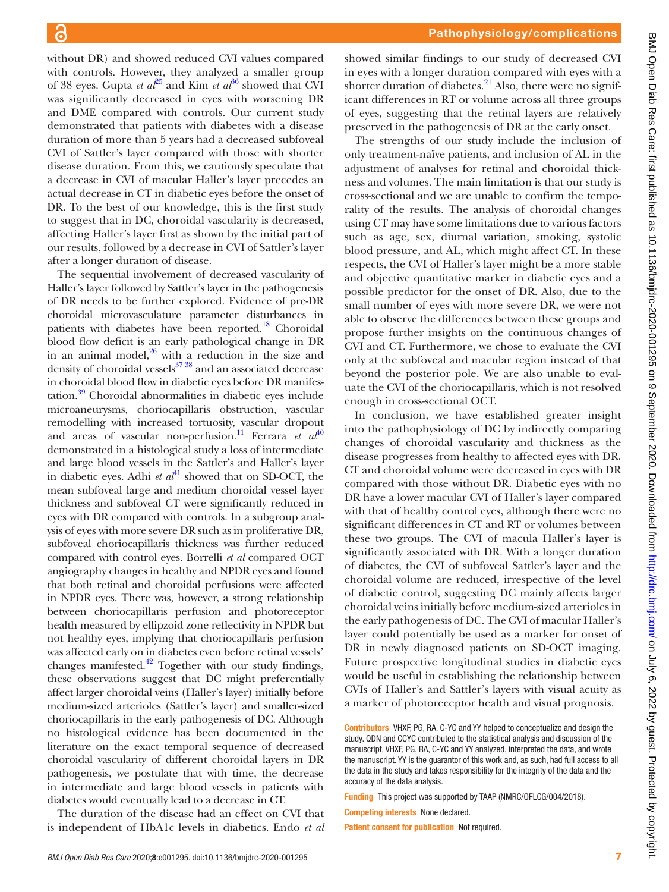without DR) and showed reduced CVI values compared with controls. However, they analyzed a smaller group of 38 eyes. Gupta *et al*<sup>25</sup> and Kim *et al*<sup>36</sup> showed that CVI was significantly decreased in eyes with worsening DR and DME compared with controls. Our current study demonstrated that patients with diabetes with a disease duration of more than 5 years had a decreased subfoveal CVI of Sattler's layer compared with those with shorter disease duration. From this, we cautiously speculate that a decrease in CVI of macular Haller's layer precedes an actual decrease in CT in diabetic eyes before the onset of DR. To the best of our knowledge, this is the first study to suggest that in DC, choroidal vascularity is decreased, affecting Haller's layer first as shown by the initial part of our results, followed by a decrease in CVI of Sattler's layer after a longer duration of disease.

The sequential involvement of decreased vascularity of Haller's layer followed by Sattler's layer in the pathogenesis of DR needs to be further explored. Evidence of pre-DR choroidal microvasculature parameter disturbances in patients with diabetes have been reported.<sup>[18](#page-7-24)</sup> Choroidal blood flow deficit is an early pathological change in DR in an animal model, $26$  with a reduction in the size and density of choroidal vessels<sup>37</sup> 38</sup> and an associated decrease in choroidal blood flow in diabetic eyes before DR manifestation.<sup>39</sup> Choroidal abnormalities in diabetic eyes include microaneurysms, choriocapillaris obstruction, vascular remodelling with increased tortuosity, vascular dropout and areas of vascular non-perfusion.<sup>[11](#page-7-6)</sup> Ferrara *et al*<sup>[40](#page-7-27)</sup> demonstrated in a histological study a loss of intermediate and large blood vessels in the Sattler's and Haller's layer in diabetic eyes. Adhi *et al*<sup> $41$ </sup> showed that on SD-OCT, the mean subfoveal large and medium choroidal vessel layer thickness and subfoveal CT were significantly reduced in eyes with DR compared with controls. In a subgroup analysis of eyes with more severe DR such as in proliferative DR, subfoveal choriocapillaris thickness was further reduced compared with control eyes. Borrelli *et al* compared OCT angiography changes in healthy and NPDR eyes and found that both retinal and choroidal perfusions were affected in NPDR eyes. There was, however, a strong relationship between choriocapillaris perfusion and photoreceptor health measured by ellipzoid zone reflectivity in NPDR but not healthy eyes, implying that choriocapillaris perfusion was affected early on in diabetes even before retinal vessels' changes manifested. $42$  Together with our study findings, these observations suggest that DC might preferentially affect larger choroidal veins (Haller's layer) initially before medium-sized arterioles (Sattler's layer) and smaller-sized choriocapillaris in the early pathogenesis of DC. Although no histological evidence has been documented in the literature on the exact temporal sequence of decreased choroidal vascularity of different choroidal layers in DR pathogenesis, we postulate that with time, the decrease in intermediate and large blood vessels in patients with diabetes would eventually lead to a decrease in CT.

The duration of the disease had an effect on CVI that is independent of HbA1c levels in diabetics. Endo *et al* showed similar findings to our study of decreased CVI in eyes with a longer duration compared with eyes with a shorter duration of diabetes. $^{21}$  Also, there were no significant differences in RT or volume across all three groups of eyes, suggesting that the retinal layers are relatively preserved in the pathogenesis of DR at the early onset.

The strengths of our study include the inclusion of only treatment-naïve patients, and inclusion of AL in the adjustment of analyses for retinal and choroidal thickness and volumes. The main limitation is that our study is cross-sectional and we are unable to confirm the temporality of the results. The analysis of choroidal changes using CT may have some limitations due to various factors such as age, sex, diurnal variation, smoking, systolic blood pressure, and AL, which might affect CT. In these respects, the CVI of Haller's layer might be a more stable and objective quantitative marker in diabetic eyes and a possible predictor for the onset of DR. Also, due to the small number of eyes with more severe DR, we were not able to observe the differences between these groups and propose further insights on the continuous changes of CVI and CT. Furthermore, we chose to evaluate the CVI only at the subfoveal and macular region instead of that beyond the posterior pole. We are also unable to evaluate the CVI of the choriocapillaris, which is not resolved enough in cross-sectional OCT.

In conclusion, we have established greater insight into the pathophysiology of DC by indirectly comparing changes of choroidal vascularity and thickness as the disease progresses from healthy to affected eyes with DR. CT and choroidal volume were decreased in eyes with DR compared with those without DR. Diabetic eyes with no DR have a lower macular CVI of Haller's layer compared with that of healthy control eyes, although there were no significant differences in CT and RT or volumes between these two groups. The CVI of macula Haller's layer is significantly associated with DR. With a longer duration of diabetes, the CVI of subfoveal Sattler's layer and the choroidal volume are reduced, irrespective of the level of diabetic control, suggesting DC mainly affects larger choroidal veins initially before medium-sized arterioles in the early pathogenesis of DC. The CVI of macular Haller's layer could potentially be used as a marker for onset of DR in newly diagnosed patients on SD-OCT imaging. Future prospective longitudinal studies in diabetic eyes would be useful in establishing the relationship between CVIs of Haller's and Sattler's layers with visual acuity as a marker of photoreceptor health and visual prognosis.

Contributors VHXF, PG, RA, C-YC and YY helped to conceptualize and design the study. QDN and CCYC contributed to the statistical analysis and discussion of the manuscript. VHXF, PG, RA, C-YC and YY analyzed, interpreted the data, and wrote the manuscript. YY is the guarantor of this work and, as such, had full access to all the data in the study and takes responsibility for the integrity of the data and the accuracy of the data analysis.

Funding This project was supported by TAAP (NMRC/OFLCG/004/2018).

Competing interests None declared.

Patient consent for publication Not required.